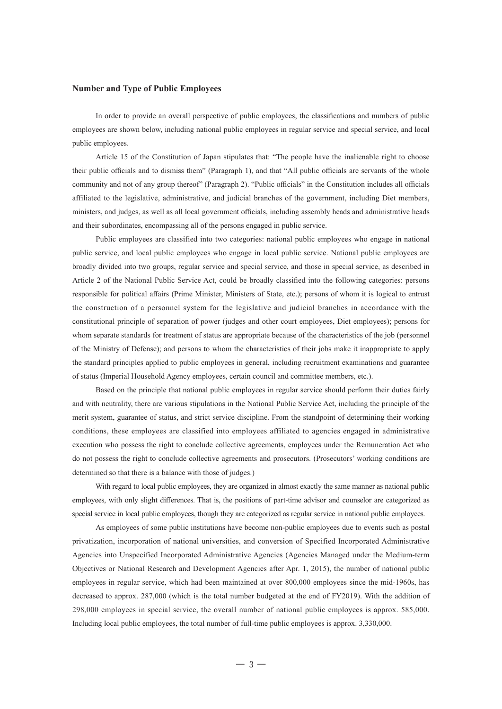## **Number and Type of Public Employees**

 In order to provide an overall perspective of public employees, the classifications and numbers of public employees are shown below, including national public employees in regular service and special service, and local public employees.

 Article 15 of the Constitution of Japan stipulates that: "The people have the inalienable right to choose their public officials and to dismiss them" (Paragraph 1), and that "All public officials are servants of the whole community and not of any group thereof" (Paragraph 2). "Public officials" in the Constitution includes all officials affiliated to the legislative, administrative, and judicial branches of the government, including Diet members, ministers, and judges, as well as all local government officials, including assembly heads and administrative heads and their subordinates, encompassing all of the persons engaged in public service.

 Public employees are classified into two categories: national public employees who engage in national public service, and local public employees who engage in local public service. National public employees are broadly divided into two groups, regular service and special service, and those in special service, as described in Article 2 of the National Public Service Act, could be broadly classified into the following categories: persons responsible for political affairs (Prime Minister, Ministers of State, etc.); persons of whom it is logical to entrust the construction of a personnel system for the legislative and judicial branches in accordance with the constitutional principle of separation of power (judges and other court employees, Diet employees); persons for whom separate standards for treatment of status are appropriate because of the characteristics of the job (personnel of the Ministry of Defense); and persons to whom the characteristics of their jobs make it inappropriate to apply the standard principles applied to public employees in general, including recruitment examinations and guarantee of status (Imperial Household Agency employees, certain council and committee members, etc.).

 Based on the principle that national public employees in regular service should perform their duties fairly and with neutrality, there are various stipulations in the National Public Service Act, including the principle of the merit system, guarantee of status, and strict service discipline. From the standpoint of determining their working conditions, these employees are classified into employees affiliated to agencies engaged in administrative execution who possess the right to conclude collective agreements, employees under the Remuneration Act who do not possess the right to conclude collective agreements and prosecutors. (Prosecutors' working conditions are determined so that there is a balance with those of judges.)

 With regard to local public employees, they are organized in almost exactly the same manner as national public employees, with only slight differences. That is, the positions of part-time advisor and counselor are categorized as special service in local public employees, though they are categorized as regular service in national public employees.

 As employees of some public institutions have become non-public employees due to events such as postal privatization, incorporation of national universities, and conversion of Specified Incorporated Administrative Agencies into Unspecified Incorporated Administrative Agencies (Agencies Managed under the Medium-term Objectives or National Research and Development Agencies after Apr. 1, 2015), the number of national public employees in regular service, which had been maintained at over 800,000 employees since the mid-1960s, has decreased to approx. 287,000 (which is the total number budgeted at the end of FY2019). With the addition of 298,000 employees in special service, the overall number of national public employees is approx. 585,000. Including local public employees, the total number of full-time public employees is approx. 3,330,000.